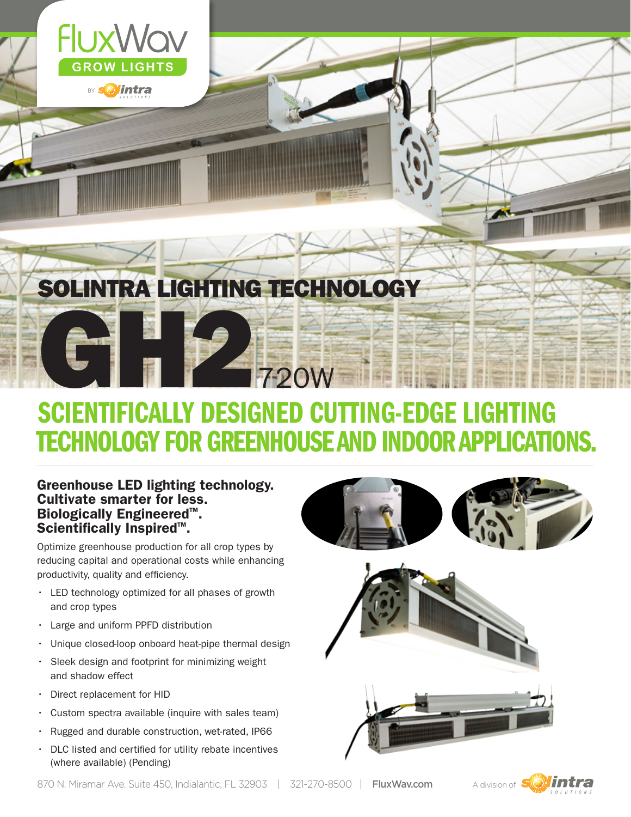

## SCIENTIFICALLY DESIGNED CUTTING-EDGE LIGHTING TECHNOLOGY FOR GREENHOUSE AND INDOOR APPLICATIONS.

#### Greenhouse LED lighting technology. Cultivate smarter for less. Biologically Engineered™.<br>Scientifically Inspired™. Scientifically Inspired<sup>™</sup>.

Optimize greenhouse production for all crop types by reducing capital and operational costs while enhancing productivity, quality and efficiency.

- • LED technology optimized for all phases of growth and crop types
- • Large and uniform PPFD distribution
- Unique closed-loop onboard heat-pipe thermal design
- • Sleek design and footprint for minimizing weight and shadow effect
- Direct replacement for HID
- $\cdot$  Custom spectra available (inquire with sales team)
- • Rugged and durable construction, wet-rated, IP66
- DLC listed and certified for utility rebate incentives (where available) (Pending)



870 N. Miramar Ave. Suite 450, Indialantic, FL 32903 | 321-270-8500 | FluxWav.com A division of  $\mathbb{S}$